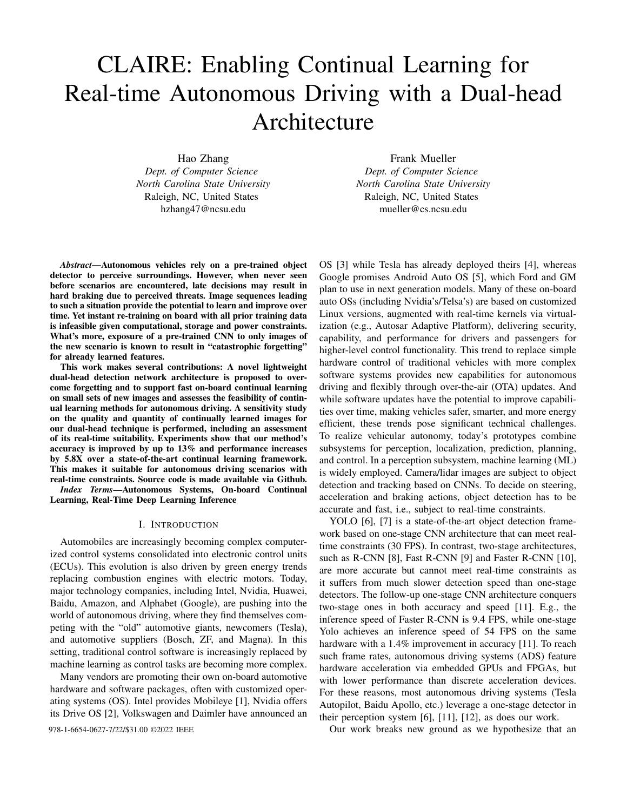# CLAIRE: Enabling Continual Learning for Real-time Autonomous Driving with a Dual-head Architecture

Hao Zhang *Dept. of Computer Science North Carolina State University* Raleigh, NC, United States hzhang47@ncsu.edu

Frank Mueller *Dept. of Computer Science North Carolina State University* Raleigh, NC, United States mueller@cs.ncsu.edu

*Abstract*—Autonomous vehicles rely on a pre-trained object detector to perceive surroundings. However, when never seen before scenarios are encountered, late decisions may result in hard braking due to perceived threats. Image sequences leading to such a situation provide the potential to learn and improve over time. Yet instant re-training on board with all prior training data is infeasible given computational, storage and power constraints. What's more, exposure of a pre-trained CNN to only images of the new scenario is known to result in "catastrophic forgetting" for already learned features.

This work makes several contributions: A novel lightweight dual-head detection network architecture is proposed to overcome forgetting and to support fast on-board continual learning on small sets of new images and assesses the feasibility of continual learning methods for autonomous driving. A sensitivity study on the quality and quantity of continually learned images for our dual-head technique is performed, including an assessment of its real-time suitability. Experiments show that our method's accuracy is improved by up to 13% and performance increases by 5.8X over a state-of-the-art continual learning framework. This makes it suitable for autonomous driving scenarios with real-time constraints. Source code is made available via Github. *Index Terms*—Autonomous Systems, On-board Continual

Learning, Real-Time Deep Learning Inference

#### I. INTRODUCTION

Automobiles are increasingly becoming complex computerized control systems consolidated into electronic control units (ECUs). This evolution is also driven by green energy trends replacing combustion engines with electric motors. Today, major technology companies, including Intel, Nvidia, Huawei, Baidu, Amazon, and Alphabet (Google), are pushing into the world of autonomous driving, where they find themselves competing with the "old" automotive giants, newcomers (Tesla), and automotive suppliers (Bosch, ZF, and Magna). In this setting, traditional control software is increasingly replaced by machine learning as control tasks are becoming more complex.

Many vendors are promoting their own on-board automotive hardware and software packages, often with customized operating systems (OS). Intel provides Mobileye [1], Nvidia offers its Drive OS [2], Volkswagen and Daimler have announced an

OS [3] while Tesla has already deployed theirs [4], whereas Google promises Android Auto OS [5], which Ford and GM plan to use in next generation models. Many of these on-board auto OSs (including Nvidia's/Telsa's) are based on customized Linux versions, augmented with real-time kernels via virtualization (e.g., Autosar Adaptive Platform), delivering security, capability, and performance for drivers and passengers for higher-level control functionality. This trend to replace simple hardware control of traditional vehicles with more complex software systems provides new capabilities for autonomous driving and flexibly through over-the-air (OTA) updates. And while software updates have the potential to improve capabilities over time, making vehicles safer, smarter, and more energy efficient, these trends pose significant technical challenges. To realize vehicular autonomy, today's prototypes combine subsystems for perception, localization, prediction, planning, and control. In a perception subsystem, machine learning (ML) is widely employed. Camera/lidar images are subject to object detection and tracking based on CNNs. To decide on steering, acceleration and braking actions, object detection has to be accurate and fast, i.e., subject to real-time constraints.

YOLO [6], [7] is a state-of-the-art object detection framework based on one-stage CNN architecture that can meet realtime constraints (30 FPS). In contrast, two-stage architectures, such as R-CNN [8], Fast R-CNN [9] and Faster R-CNN [10], are more accurate but cannot meet real-time constraints as it suffers from much slower detection speed than one-stage detectors. The follow-up one-stage CNN architecture conquers two-stage ones in both accuracy and speed [11]. E.g., the inference speed of Faster R-CNN is 9.4 FPS, while one-stage Yolo achieves an inference speed of 54 FPS on the same hardware with a 1.4% improvement in accuracy [11]. To reach such frame rates, autonomous driving systems (ADS) feature hardware acceleration via embedded GPUs and FPGAs, but with lower performance than discrete acceleration devices. For these reasons, most autonomous driving systems (Tesla Autopilot, Baidu Apollo, etc.) leverage a one-stage detector in their perception system [6], [11], [12], as does our work.

978-1-6654-0627-7/22/\$31.00 ©2022 IEEE **Our work breaks new ground as we hypothesize that an**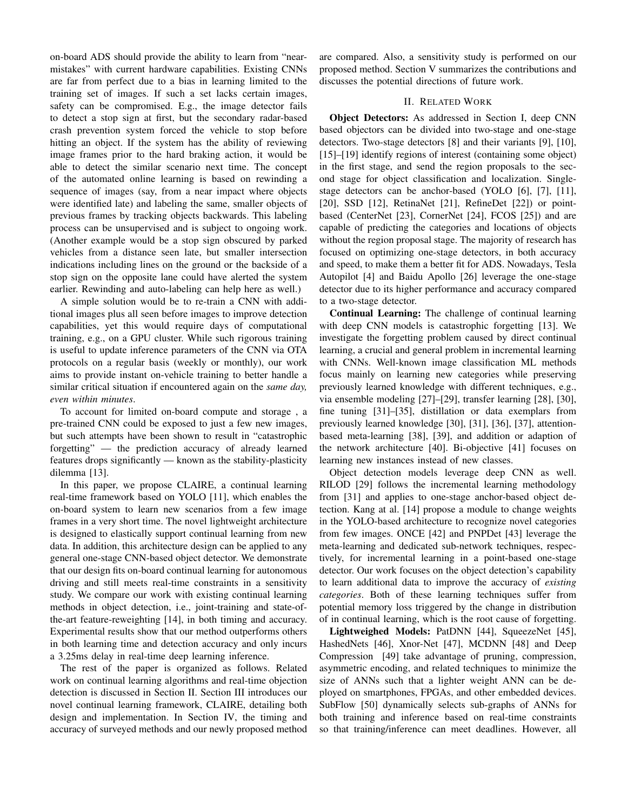on-board ADS should provide the ability to learn from "nearmistakes" with current hardware capabilities. Existing CNNs are far from perfect due to a bias in learning limited to the training set of images. If such a set lacks certain images, safety can be compromised. E.g., the image detector fails to detect a stop sign at first, but the secondary radar-based crash prevention system forced the vehicle to stop before hitting an object. If the system has the ability of reviewing image frames prior to the hard braking action, it would be able to detect the similar scenario next time. The concept of the automated online learning is based on rewinding a sequence of images (say, from a near impact where objects were identified late) and labeling the same, smaller objects of previous frames by tracking objects backwards. This labeling process can be unsupervised and is subject to ongoing work. (Another example would be a stop sign obscured by parked vehicles from a distance seen late, but smaller intersection indications including lines on the ground or the backside of a stop sign on the opposite lane could have alerted the system earlier. Rewinding and auto-labeling can help here as well.)

A simple solution would be to re-train a CNN with additional images plus all seen before images to improve detection capabilities, yet this would require days of computational training, e.g., on a GPU cluster. While such rigorous training is useful to update inference parameters of the CNN via OTA protocols on a regular basis (weekly or monthly), our work aims to provide instant on-vehicle training to better handle a similar critical situation if encountered again on the *same day, even within minutes*.

To account for limited on-board compute and storage , a pre-trained CNN could be exposed to just a few new images, but such attempts have been shown to result in "catastrophic forgetting" — the prediction accuracy of already learned features drops significantly — known as the stability-plasticity dilemma [13].

In this paper, we propose CLAIRE, a continual learning real-time framework based on YOLO [11], which enables the on-board system to learn new scenarios from a few image frames in a very short time. The novel lightweight architecture is designed to elastically support continual learning from new data. In addition, this architecture design can be applied to any general one-stage CNN-based object detector. We demonstrate that our design fits on-board continual learning for autonomous driving and still meets real-time constraints in a sensitivity study. We compare our work with existing continual learning methods in object detection, i.e., joint-training and state-ofthe-art feature-reweighting [14], in both timing and accuracy. Experimental results show that our method outperforms others in both learning time and detection accuracy and only incurs a 3.25ms delay in real-time deep learning inference.

The rest of the paper is organized as follows. Related work on continual learning algorithms and real-time objection detection is discussed in Section II. Section III introduces our novel continual learning framework, CLAIRE, detailing both design and implementation. In Section IV, the timing and accuracy of surveyed methods and our newly proposed method are compared. Also, a sensitivity study is performed on our proposed method. Section V summarizes the contributions and discusses the potential directions of future work.

# II. RELATED WORK

Object Detectors: As addressed in Section I, deep CNN based objectors can be divided into two-stage and one-stage detectors. Two-stage detectors [8] and their variants [9], [10], [15]–[19] identify regions of interest (containing some object) in the first stage, and send the region proposals to the second stage for object classification and localization. Singlestage detectors can be anchor-based (YOLO [6], [7], [11], [20], SSD [12], RetinaNet [21], RefineDet [22]) or pointbased (CenterNet [23], CornerNet [24], FCOS [25]) and are capable of predicting the categories and locations of objects without the region proposal stage. The majority of research has focused on optimizing one-stage detectors, in both accuracy and speed, to make them a better fit for ADS. Nowadays, Tesla Autopilot [4] and Baidu Apollo [26] leverage the one-stage detector due to its higher performance and accuracy compared to a two-stage detector.

Continual Learning: The challenge of continual learning with deep CNN models is catastrophic forgetting [13]. We investigate the forgetting problem caused by direct continual learning, a crucial and general problem in incremental learning with CNNs. Well-known image classification ML methods focus mainly on learning new categories while preserving previously learned knowledge with different techniques, e.g., via ensemble modeling [27]–[29], transfer learning [28], [30], fine tuning [31]–[35], distillation or data exemplars from previously learned knowledge [30], [31], [36], [37], attentionbased meta-learning [38], [39], and addition or adaption of the network architecture [40]. Bi-objective [41] focuses on learning new instances instead of new classes.

Object detection models leverage deep CNN as well. RILOD [29] follows the incremental learning methodology from [31] and applies to one-stage anchor-based object detection. Kang at al. [14] propose a module to change weights in the YOLO-based architecture to recognize novel categories from few images. ONCE [42] and PNPDet [43] leverage the meta-learning and dedicated sub-network techniques, respectively, for incremental learning in a point-based one-stage detector. Our work focuses on the object detection's capability to learn additional data to improve the accuracy of *existing categories*. Both of these learning techniques suffer from potential memory loss triggered by the change in distribution of in continual learning, which is the root cause of forgetting.

Lightweighed Models: PatDNN [44], SqueezeNet [45], HashedNets [46], Xnor-Net [47], MCDNN [48] and Deep Compression [49] take advantage of pruning, compression, asymmetric encoding, and related techniques to minimize the size of ANNs such that a lighter weight ANN can be deployed on smartphones, FPGAs, and other embedded devices. SubFlow [50] dynamically selects sub-graphs of ANNs for both training and inference based on real-time constraints so that training/inference can meet deadlines. However, all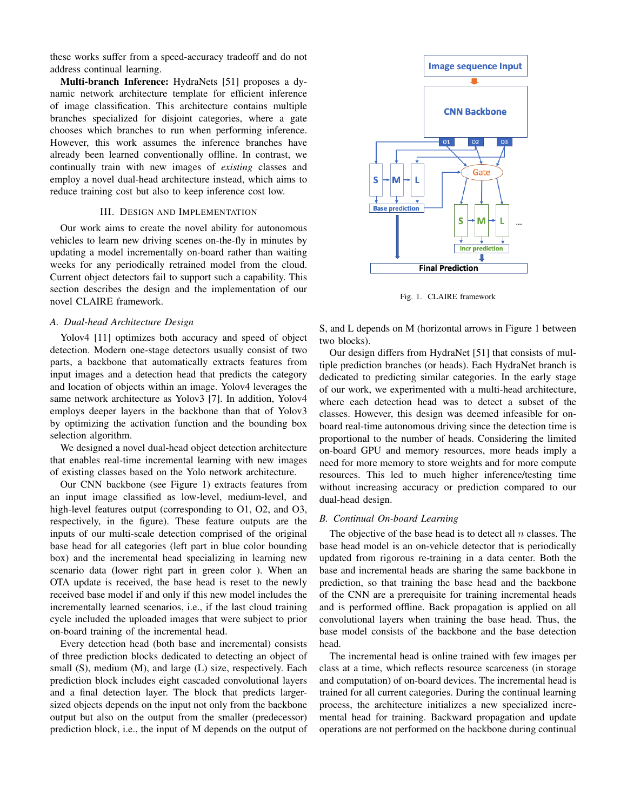these works suffer from a speed-accuracy tradeoff and do not address continual learning.

Multi-branch Inference: HydraNets [51] proposes a dynamic network architecture template for efficient inference of image classification. This architecture contains multiple branches specialized for disjoint categories, where a gate chooses which branches to run when performing inference. However, this work assumes the inference branches have already been learned conventionally offline. In contrast, we continually train with new images of *existing* classes and employ a novel dual-head architecture instead, which aims to reduce training cost but also to keep inference cost low.

### III. DESIGN AND IMPLEMENTATION

Our work aims to create the novel ability for autonomous vehicles to learn new driving scenes on-the-fly in minutes by updating a model incrementally on-board rather than waiting weeks for any periodically retrained model from the cloud. Current object detectors fail to support such a capability. This section describes the design and the implementation of our novel CLAIRE framework.

## *A. Dual-head Architecture Design*

Yolov4 [11] optimizes both accuracy and speed of object detection. Modern one-stage detectors usually consist of two parts, a backbone that automatically extracts features from input images and a detection head that predicts the category and location of objects within an image. Yolov4 leverages the same network architecture as Yolov3 [7]. In addition, Yolov4 employs deeper layers in the backbone than that of Yolov3 by optimizing the activation function and the bounding box selection algorithm.

We designed a novel dual-head object detection architecture that enables real-time incremental learning with new images of existing classes based on the Yolo network architecture.

Our CNN backbone (see Figure 1) extracts features from an input image classified as low-level, medium-level, and high-level features output (corresponding to O1, O2, and O3, respectively, in the figure). These feature outputs are the inputs of our multi-scale detection comprised of the original base head for all categories (left part in blue color bounding box) and the incremental head specializing in learning new scenario data (lower right part in green color ). When an OTA update is received, the base head is reset to the newly received base model if and only if this new model includes the incrementally learned scenarios, i.e., if the last cloud training cycle included the uploaded images that were subject to prior on-board training of the incremental head.

Every detection head (both base and incremental) consists of three prediction blocks dedicated to detecting an object of small (S), medium (M), and large (L) size, respectively. Each prediction block includes eight cascaded convolutional layers and a final detection layer. The block that predicts largersized objects depends on the input not only from the backbone output but also on the output from the smaller (predecessor) prediction block, i.e., the input of M depends on the output of



Fig. 1. CLAIRE framework

S, and L depends on M (horizontal arrows in Figure 1 between two blocks).

Our design differs from HydraNet [51] that consists of multiple prediction branches (or heads). Each HydraNet branch is dedicated to predicting similar categories. In the early stage of our work, we experimented with a multi-head architecture, where each detection head was to detect a subset of the classes. However, this design was deemed infeasible for onboard real-time autonomous driving since the detection time is proportional to the number of heads. Considering the limited on-board GPU and memory resources, more heads imply a need for more memory to store weights and for more compute resources. This led to much higher inference/testing time without increasing accuracy or prediction compared to our dual-head design.

#### *B. Continual On-board Learning*

The objective of the base head is to detect all  $n$  classes. The base head model is an on-vehicle detector that is periodically updated from rigorous re-training in a data center. Both the base and incremental heads are sharing the same backbone in prediction, so that training the base head and the backbone of the CNN are a prerequisite for training incremental heads and is performed offline. Back propagation is applied on all convolutional layers when training the base head. Thus, the base model consists of the backbone and the base detection head.

The incremental head is online trained with few images per class at a time, which reflects resource scarceness (in storage and computation) of on-board devices. The incremental head is trained for all current categories. During the continual learning process, the architecture initializes a new specialized incremental head for training. Backward propagation and update operations are not performed on the backbone during continual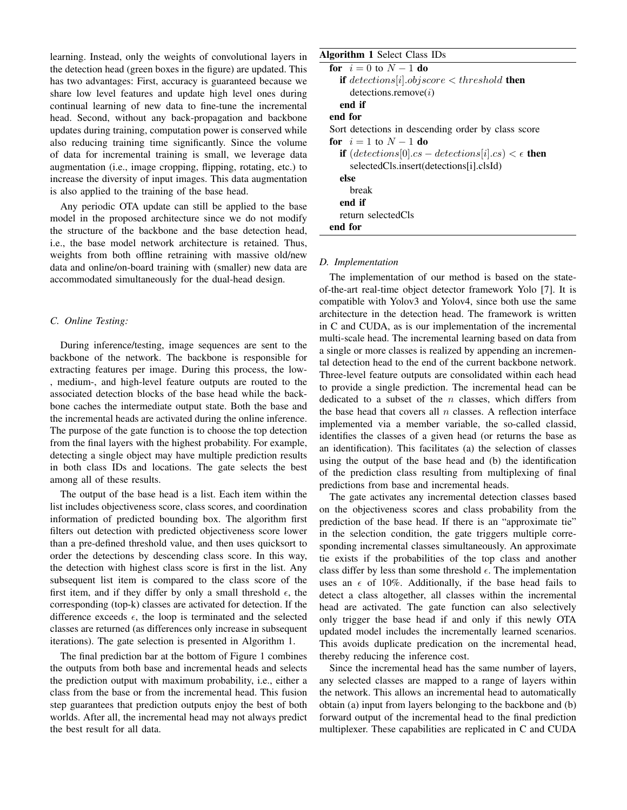learning. Instead, only the weights of convolutional layers in the detection head (green boxes in the figure) are updated. This has two advantages: First, accuracy is guaranteed because we share low level features and update high level ones during continual learning of new data to fine-tune the incremental head. Second, without any back-propagation and backbone updates during training, computation power is conserved while also reducing training time significantly. Since the volume of data for incremental training is small, we leverage data augmentation (i.e., image cropping, flipping, rotating, etc.) to increase the diversity of input images. This data augmentation is also applied to the training of the base head.

Any periodic OTA update can still be applied to the base model in the proposed architecture since we do not modify the structure of the backbone and the base detection head, i.e., the base model network architecture is retained. Thus, weights from both offline retraining with massive old/new data and online/on-board training with (smaller) new data are accommodated simultaneously for the dual-head design.

#### *C. Online Testing:*

During inference/testing, image sequences are sent to the backbone of the network. The backbone is responsible for extracting features per image. During this process, the low- , medium-, and high-level feature outputs are routed to the associated detection blocks of the base head while the backbone caches the intermediate output state. Both the base and the incremental heads are activated during the online inference. The purpose of the gate function is to choose the top detection from the final layers with the highest probability. For example, detecting a single object may have multiple prediction results in both class IDs and locations. The gate selects the best among all of these results.

The output of the base head is a list. Each item within the list includes objectiveness score, class scores, and coordination information of predicted bounding box. The algorithm first filters out detection with predicted objectiveness score lower than a pre-defined threshold value, and then uses quicksort to order the detections by descending class score. In this way, the detection with highest class score is first in the list. Any subsequent list item is compared to the class score of the first item, and if they differ by only a small threshold  $\epsilon$ , the corresponding (top-k) classes are activated for detection. If the difference exceeds  $\epsilon$ , the loop is terminated and the selected classes are returned (as differences only increase in subsequent iterations). The gate selection is presented in Algorithm 1.

The final prediction bar at the bottom of Figure 1 combines the outputs from both base and incremental heads and selects the prediction output with maximum probability, i.e., either a class from the base or from the incremental head. This fusion step guarantees that prediction outputs enjoy the best of both worlds. After all, the incremental head may not always predict the best result for all data.

# Algorithm 1 Select Class IDs

| <b>for</b> $i = 0$ to $N - 1$ <b>do</b>                                |
|------------------------------------------------------------------------|
| <b>if</b> detections[i] objscore $\lt$ threshold <b>then</b>           |
| detection.remove(i)                                                    |
| end if                                                                 |
| end for                                                                |
| Sort detections in descending order by class score                     |
| for $i = 1$ to $N - 1$ do                                              |
| <b>if</b> $(detections[0].cs-detections[i].cs) < \epsilon$ <b>then</b> |
| selectedCls.insert(detections[i].clsId)                                |
| else                                                                   |
| break                                                                  |
| end if                                                                 |
| return selectedCls                                                     |
| end for                                                                |
|                                                                        |

#### *D. Implementation*

The implementation of our method is based on the stateof-the-art real-time object detector framework Yolo [7]. It is compatible with Yolov3 and Yolov4, since both use the same architecture in the detection head. The framework is written in C and CUDA, as is our implementation of the incremental multi-scale head. The incremental learning based on data from a single or more classes is realized by appending an incremental detection head to the end of the current backbone network. Three-level feature outputs are consolidated within each head to provide a single prediction. The incremental head can be dedicated to a subset of the  $n$  classes, which differs from the base head that covers all  $n$  classes. A reflection interface implemented via a member variable, the so-called classid, identifies the classes of a given head (or returns the base as an identification). This facilitates (a) the selection of classes using the output of the base head and (b) the identification of the prediction class resulting from multiplexing of final predictions from base and incremental heads.

The gate activates any incremental detection classes based on the objectiveness scores and class probability from the prediction of the base head. If there is an "approximate tie" in the selection condition, the gate triggers multiple corresponding incremental classes simultaneously. An approximate tie exists if the probabilities of the top class and another class differ by less than some threshold  $\epsilon$ . The implementation uses an  $\epsilon$  of 10%. Additionally, if the base head fails to detect a class altogether, all classes within the incremental head are activated. The gate function can also selectively only trigger the base head if and only if this newly OTA updated model includes the incrementally learned scenarios. This avoids duplicate predication on the incremental head, thereby reducing the inference cost.

Since the incremental head has the same number of layers, any selected classes are mapped to a range of layers within the network. This allows an incremental head to automatically obtain (a) input from layers belonging to the backbone and (b) forward output of the incremental head to the final prediction multiplexer. These capabilities are replicated in C and CUDA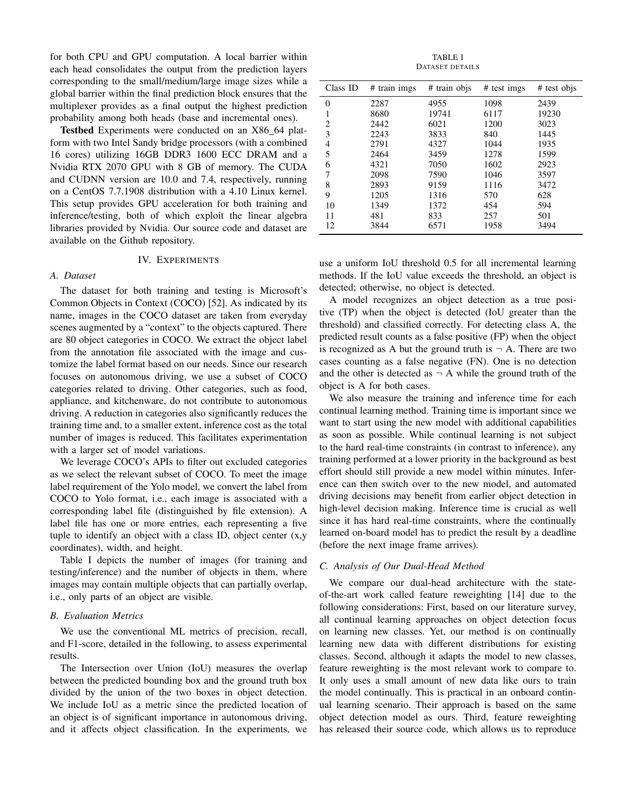for both CPU and GPU computation. A local barrier within each head consolidates the output from the prediction layers corresponding to the small/medium/large image sizes while a global barrier within the final prediction block ensures that the multiplexer provides as a final output the highest prediction probability among both heads (base and incremental ones).

Testbed Experiments were conducted on an X86\_64 platform with two Intel Sandy bridge processors (with a combined 16 cores) utilizing 16GB DDR3 1600 ECC DRAM and a Nvidia RTX 2070 GPU with 8 GB of memory. The CUDA and CUDNN version are 10.0 and 7.4, respectively, running on a CentOS 7.7.1908 distribution with a 4.10 Linux kernel. This setup provides GPU acceleration for both training and inference/testing, both of which exploit the linear algebra libraries provided by Nvidia. Our source code and dataset are available on the Github repository.

### IV. EXPERIMENTS

### *A. Dataset*

The dataset for both training and testing is Microsoft's Common Objects in Context (COCO) [52]. As indicated by its name, images in the COCO dataset are taken from everyday scenes augmented by a "context" to the objects captured. There are 80 object categories in COCO. We extract the object label from the annotation file associated with the image and customize the label format based on our needs. Since our research focuses on autonomous driving, we use a subset of COCO categories related to driving. Other categories, such as food, appliance, and kitchenware, do not contribute to autonomous driving. A reduction in categories also significantly reduces the training time and, to a smaller extent, inference cost as the total number of images is reduced. This facilitates experimentation with a larger set of model variations.

We leverage COCO's APIs to filter out excluded categories as we select the relevant subset of COCO. To meet the image label requirement of the Yolo model, we convert the label from COCO to Yolo format, i.e., each image is associated with a corresponding label file (distinguished by file extension). A label file has one or more entries, each representing a five tuple to identify an object with a class ID, object center (x,y coordinates), width, and height.

Table I depicts the number of images (for training and testing/inference) and the number of objects in them, where images may contain multiple objects that can partially overlap, i.e., only parts of an object are visible.

### *B. Evaluation Metrics*

We use the conventional ML metrics of precision, recall, and F1-score, detailed in the following, to assess experimental results.

The Intersection over Union (IoU) measures the overlap between the predicted bounding box and the ground truth box divided by the union of the two boxes in object detection. We include IoU as a metric since the predicted location of an object is of significant importance in autonomous driving, and it affects object classification. In the experiments, we

TABLE I DATASET DETAILS

| Class ID | # train imgs | # train objs | $#$ test imgs | # test objs |
|----------|--------------|--------------|---------------|-------------|
| $\theta$ | 2287         | 4955         | 1098          | 2439        |
| 1        | 8680         | 19741        | 6117          | 19230       |
| 2        | 2442         | 6021         | 1200          | 3023        |
| 3        | 2243         | 3833         | 840           | 1445        |
| 4        | 2791         | 4327         | 1044          | 1935        |
| 5        | 2464         | 3459         | 1278          | 1599        |
| 6        | 4321         | 7050         | 1602          | 2923        |
| 7        | 2098         | 7590         | 1046          | 3597        |
| 8        | 2893         | 9159         | 1116          | 3472        |
| 9        | 1205         | 1316         | 570           | 628         |
| 10       | 1349         | 1372         | 454           | 594         |
| 11       | 481          | 833          | 257           | 501         |
| 12       | 3844         | 6571         | 1958          | 3494        |

use a uniform IoU threshold 0.5 for all incremental learning methods. If the IoU value exceeds the threshold, an object is detected; otherwise, no object is detected.

A model recognizes an object detection as a true positive (TP) when the object is detected (IoU greater than the threshold) and classified correctly. For detecting class A, the predicted result counts as a false positive (FP) when the object is recognized as A but the ground truth is  $\neg$  A. There are two cases counting as a false negative (FN). One is no detection and the other is detected as  $\neg A$  while the ground truth of the object is A for both cases.

We also measure the training and inference time for each continual learning method. Training time is important since we want to start using the new model with additional capabilities as soon as possible. While continual learning is not subject to the hard real-time constraints (in contrast to inference), any training performed at a lower priority in the background as best effort should still provide a new model within minutes. Inference can then switch over to the new model, and automated driving decisions may benefit from earlier object detection in high-level decision making. Inference time is crucial as well since it has hard real-time constraints, where the continually learned on-board model has to predict the result by a deadline (before the next image frame arrives).

### *C. Analysis of Our Dual-Head Method*

We compare our dual-head architecture with the stateof-the-art work called feature reweighting [14] due to the following considerations: First, based on our literature survey, all continual learning approaches on object detection focus on learning new classes. Yet, our method is on continually learning new data with different distributions for existing classes. Second, although it adapts the model to new classes, feature reweighting is the most relevant work to compare to. It only uses a small amount of new data like ours to train the model continually. This is practical in an onboard continual learning scenario. Their approach is based on the same object detection model as ours. Third, feature reweighting has released their source code, which allows us to reproduce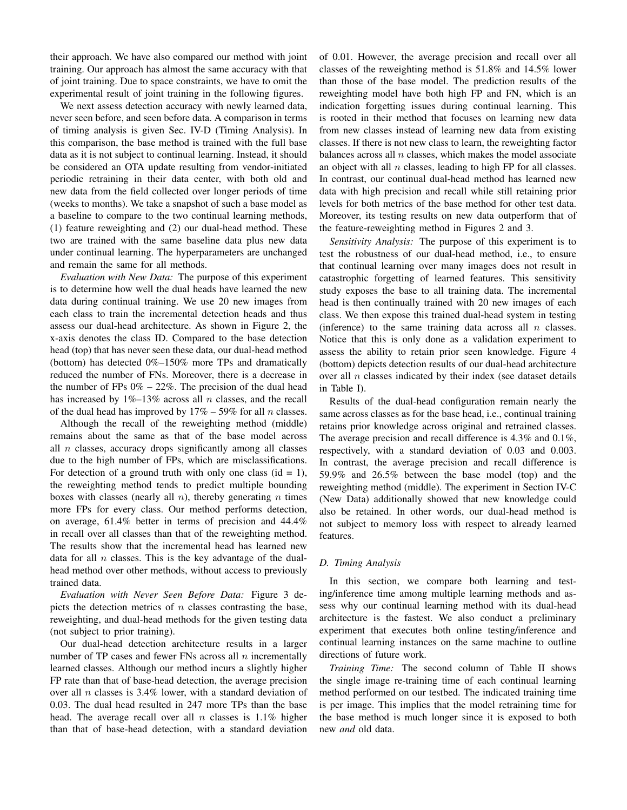their approach. We have also compared our method with joint training. Our approach has almost the same accuracy with that of joint training. Due to space constraints, we have to omit the experimental result of joint training in the following figures.

We next assess detection accuracy with newly learned data, never seen before, and seen before data. A comparison in terms of timing analysis is given Sec. IV-D (Timing Analysis). In this comparison, the base method is trained with the full base data as it is not subject to continual learning. Instead, it should be considered an OTA update resulting from vendor-initiated periodic retraining in their data center, with both old and new data from the field collected over longer periods of time (weeks to months). We take a snapshot of such a base model as a baseline to compare to the two continual learning methods, (1) feature reweighting and (2) our dual-head method. These two are trained with the same baseline data plus new data under continual learning. The hyperparameters are unchanged and remain the same for all methods.

*Evaluation with New Data:* The purpose of this experiment is to determine how well the dual heads have learned the new data during continual training. We use 20 new images from each class to train the incremental detection heads and thus assess our dual-head architecture. As shown in Figure 2, the x-axis denotes the class ID. Compared to the base detection head (top) that has never seen these data, our dual-head method (bottom) has detected 0%–150% more TPs and dramatically reduced the number of FNs. Moreover, there is a decrease in the number of FPs  $0\% - 22\%$ . The precision of the dual head has increased by  $1\%$ –13% across all *n* classes, and the recall of the dual head has improved by  $17\% - 59\%$  for all n classes.

Although the recall of the reweighting method (middle) remains about the same as that of the base model across all  $n$  classes, accuracy drops significantly among all classes due to the high number of FPs, which are misclassifications. For detection of a ground truth with only one class  $(id = 1)$ , the reweighting method tends to predict multiple bounding boxes with classes (nearly all  $n$ ), thereby generating  $n$  times more FPs for every class. Our method performs detection, on average, 61.4% better in terms of precision and 44.4% in recall over all classes than that of the reweighting method. The results show that the incremental head has learned new data for all  $n$  classes. This is the key advantage of the dualhead method over other methods, without access to previously trained data.

*Evaluation with Never Seen Before Data:* Figure 3 depicts the detection metrics of  $n$  classes contrasting the base, reweighting, and dual-head methods for the given testing data (not subject to prior training).

Our dual-head detection architecture results in a larger number of TP cases and fewer FNs across all  $n$  incrementally learned classes. Although our method incurs a slightly higher FP rate than that of base-head detection, the average precision over all  $n$  classes is 3.4% lower, with a standard deviation of 0.03. The dual head resulted in 247 more TPs than the base head. The average recall over all n classes is  $1.1\%$  higher than that of base-head detection, with a standard deviation of 0.01. However, the average precision and recall over all classes of the reweighting method is 51.8% and 14.5% lower than those of the base model. The prediction results of the reweighting model have both high FP and FN, which is an indication forgetting issues during continual learning. This is rooted in their method that focuses on learning new data from new classes instead of learning new data from existing classes. If there is not new class to learn, the reweighting factor balances across all  $n$  classes, which makes the model associate an object with all  $n$  classes, leading to high FP for all classes. In contrast, our continual dual-head method has learned new data with high precision and recall while still retaining prior levels for both metrics of the base method for other test data. Moreover, its testing results on new data outperform that of the feature-reweighting method in Figures 2 and 3.

*Sensitivity Analysis:* The purpose of this experiment is to test the robustness of our dual-head method, i.e., to ensure that continual learning over many images does not result in catastrophic forgetting of learned features. This sensitivity study exposes the base to all training data. The incremental head is then continually trained with 20 new images of each class. We then expose this trained dual-head system in testing (inference) to the same training data across all  $n$  classes. Notice that this is only done as a validation experiment to assess the ability to retain prior seen knowledge. Figure 4 (bottom) depicts detection results of our dual-head architecture over all  $n$  classes indicated by their index (see dataset details in Table I).

Results of the dual-head configuration remain nearly the same across classes as for the base head, i.e., continual training retains prior knowledge across original and retrained classes. The average precision and recall difference is 4.3% and 0.1%, respectively, with a standard deviation of 0.03 and 0.003. In contrast, the average precision and recall difference is 59.9% and 26.5% between the base model (top) and the reweighting method (middle). The experiment in Section IV-C (New Data) additionally showed that new knowledge could also be retained. In other words, our dual-head method is not subject to memory loss with respect to already learned features.

### *D. Timing Analysis*

In this section, we compare both learning and testing/inference time among multiple learning methods and assess why our continual learning method with its dual-head architecture is the fastest. We also conduct a preliminary experiment that executes both online testing/inference and continual learning instances on the same machine to outline directions of future work.

*Training Time:* The second column of Table II shows the single image re-training time of each continual learning method performed on our testbed. The indicated training time is per image. This implies that the model retraining time for the base method is much longer since it is exposed to both new *and* old data.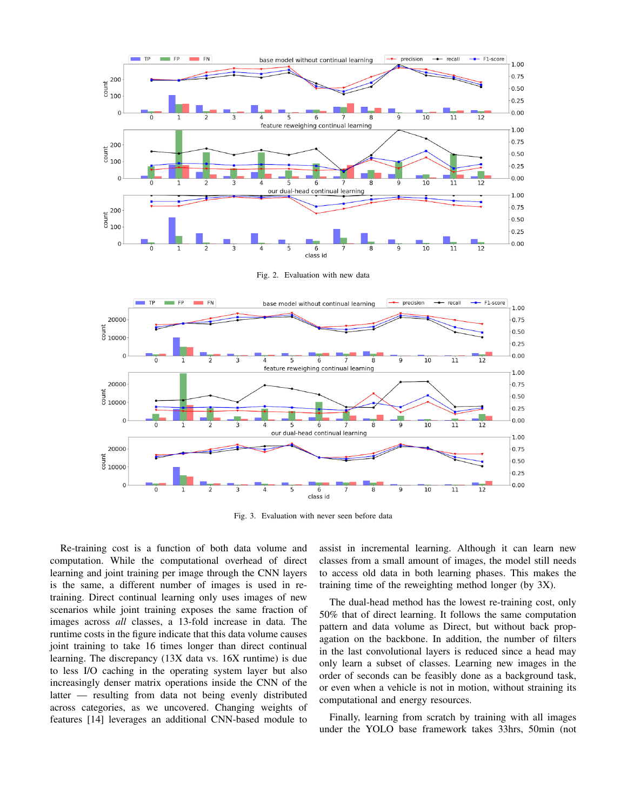

Fig. 2. Evaluation with new data



Fig. 3. Evaluation with never seen before data

Re-training cost is a function of both data volume and computation. While the computational overhead of direct learning and joint training per image through the CNN layers is the same, a different number of images is used in retraining. Direct continual learning only uses images of new scenarios while joint training exposes the same fraction of images across *all* classes, a 13-fold increase in data. The runtime costs in the figure indicate that this data volume causes joint training to take 16 times longer than direct continual learning. The discrepancy (13X data vs. 16X runtime) is due to less I/O caching in the operating system layer but also increasingly denser matrix operations inside the CNN of the latter — resulting from data not being evenly distributed across categories, as we uncovered. Changing weights of features [14] leverages an additional CNN-based module to assist in incremental learning. Although it can learn new classes from a small amount of images, the model still needs to access old data in both learning phases. This makes the training time of the reweighting method longer (by 3X).

The dual-head method has the lowest re-training cost, only 50% that of direct learning. It follows the same computation pattern and data volume as Direct, but without back propagation on the backbone. In addition, the number of filters in the last convolutional layers is reduced since a head may only learn a subset of classes. Learning new images in the order of seconds can be feasibly done as a background task, or even when a vehicle is not in motion, without straining its computational and energy resources.

Finally, learning from scratch by training with all images under the YOLO base framework takes 33hrs, 50min (not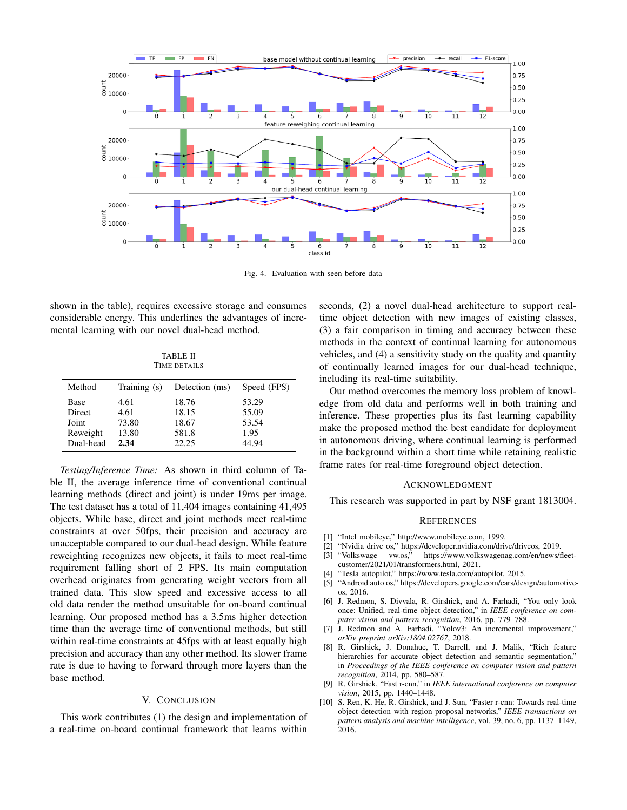

Fig. 4. Evaluation with seen before data

shown in the table), requires excessive storage and consumes considerable energy. This underlines the advantages of incremental learning with our novel dual-head method.

TABLE II TIME DETAILS

| Method    | Training $(s)$ | Detection (ms) | Speed (FPS) |
|-----------|----------------|----------------|-------------|
| Base      | 4.61           | 18.76          | 53.29       |
| Direct    | 4.61           | 18.15          | 55.09       |
| Joint     | 73.80          | 18.67          | 53.54       |
| Reweight  | 13.80          | 581.8          | 1.95        |
| Dual-head | 2.34           | 22.25          | 44.94       |

*Testing/Inference Time:* As shown in third column of Table II, the average inference time of conventional continual learning methods (direct and joint) is under 19ms per image. The test dataset has a total of 11,404 images containing 41,495 objects. While base, direct and joint methods meet real-time constraints at over 50fps, their precision and accuracy are unacceptable compared to our dual-head design. While feature reweighting recognizes new objects, it fails to meet real-time requirement falling short of 2 FPS. Its main computation overhead originates from generating weight vectors from all trained data. This slow speed and excessive access to all old data render the method unsuitable for on-board continual learning. Our proposed method has a 3.5ms higher detection time than the average time of conventional methods, but still within real-time constraints at 45fps with at least equally high precision and accuracy than any other method. Its slower frame rate is due to having to forward through more layers than the base method.

#### V. CONCLUSION

This work contributes (1) the design and implementation of a real-time on-board continual framework that learns within seconds, (2) a novel dual-head architecture to support realtime object detection with new images of existing classes, (3) a fair comparison in timing and accuracy between these methods in the context of continual learning for autonomous vehicles, and (4) a sensitivity study on the quality and quantity of continually learned images for our dual-head technique, including its real-time suitability.

Our method overcomes the memory loss problem of knowledge from old data and performs well in both training and inference. These properties plus its fast learning capability make the proposed method the best candidate for deployment in autonomous driving, where continual learning is performed in the background within a short time while retaining realistic frame rates for real-time foreground object detection.

#### ACKNOWLEDGMENT

This research was supported in part by NSF grant 1813004.

#### **REFERENCES**

- [1] "Intel mobileye," http://www.mobileye.com, 1999.
- [2] "Nvidia drive os," https://developer.nvidia.com/drive/driveos, 2019.
- [3] "Volkswage vw.os," https://www.volkswagenag.com/en/news/fleetcustomer/2021/01/transformers.html, 2021.
- [4] "Tesla autopilot," https://www.tesla.com/autopilot, 2015.
- [5] "Android auto os," https://developers.google.com/cars/design/automotiveos, 2016.
- [6] J. Redmon, S. Divvala, R. Girshick, and A. Farhadi, "You only look once: Unified, real-time object detection," in *IEEE conference on computer vision and pattern recognition*, 2016, pp. 779–788.
- [7] J. Redmon and A. Farhadi, "Yolov3: An incremental improvement," *arXiv preprint arXiv:1804.02767*, 2018.
- [8] R. Girshick, J. Donahue, T. Darrell, and J. Malik, "Rich feature hierarchies for accurate object detection and semantic segmentation," in *Proceedings of the IEEE conference on computer vision and pattern recognition*, 2014, pp. 580–587.
- [9] R. Girshick, "Fast r-cnn," in *IEEE international conference on computer vision*, 2015, pp. 1440–1448.
- [10] S. Ren, K. He, R. Girshick, and J. Sun, "Faster r-cnn: Towards real-time object detection with region proposal networks," *IEEE transactions on pattern analysis and machine intelligence*, vol. 39, no. 6, pp. 1137–1149, 2016.